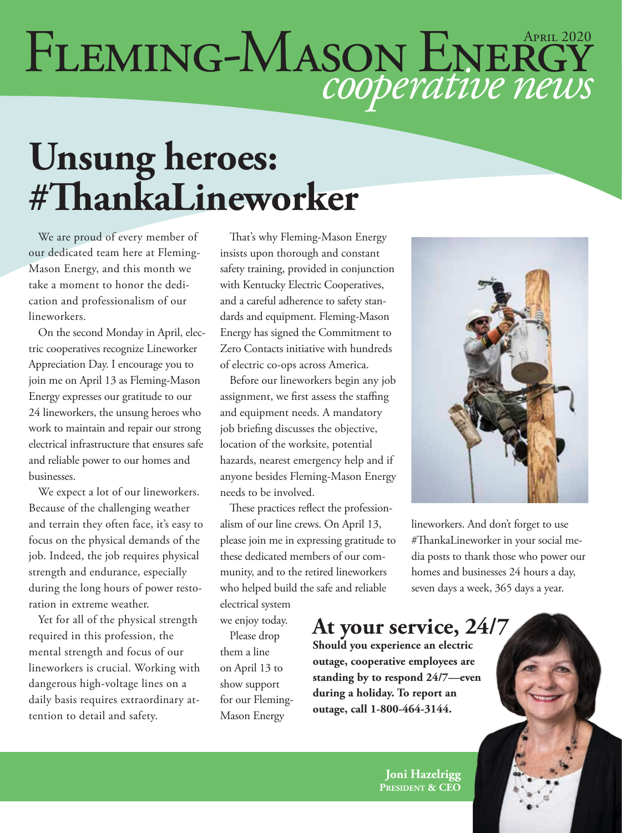# FLEMING-MASON ENERGY

## **Unsung heroes: #ThankaLineworker**

We are proud of every member of our dedicated team here at Fleming-Mason Energy, and this month we take a moment to honor the dedication and professionalism of our lineworkers.

On the second Monday in April, electric cooperatives recognize Lineworker Appreciation Day. I encourage you to join me on April 13 as Fleming-Mason Energy expresses our gratitude to our 24 lineworkers, the unsung heroes who work to maintain and repair our strong electrical infrastructure that ensures safe and reliable power to our homes and businesses.

We expect a lot of our lineworkers. Because of the challenging weather and terrain they often face, it's easy to focus on the physical demands of the job. Indeed, the job requires physical strength and endurance, especially during the long hours of power restoration in extreme weather.

Yet for all of the physical strength required in this profession, the mental strength and focus of our lineworkers is crucial. Working with dangerous high-voltage lines on a daily basis requires extraordinary attention to detail and safety.

That's why Fleming-Mason Energy insists upon thorough and constant safety training, provided in conjunction with Kentucky Electric Cooperatives, and a careful adherence to safety standards and equipment. Fleming-Mason Energy has signed the Commitment to Zero Contacts initiative with hundreds of electric co-ops across America.

Before our lineworkers begin any job assignment, we first assess the staffing and equipment needs. A mandatory job briefing discusses the objective, location of the worksite, potential hazards, nearest emergency help and if anyone besides Fleming-Mason Energy needs to be involved.

These practices reflect the professionalism of our line crews. On April 13, please join me in expressing gratitude to these dedicated members of our community, and to the retired lineworkers who helped build the safe and reliable electrical system

we enjoy today.

Please drop them a line on April 13 to show support for our Fleming-Mason Energy



lineworkers. And don't forget to use #ThankaLineworker in your social media posts to thank those who power our homes and businesses 24 hours a day, seven days a week, 365 days a year.

#### **At your service, 24/7**

**Should you experience an electric outage, cooperative employees are standing by to respond 24/7—even during a holiday. To report an outage, call 1-800-464-3144.**

> **Joni Hazelrigg President & CEO**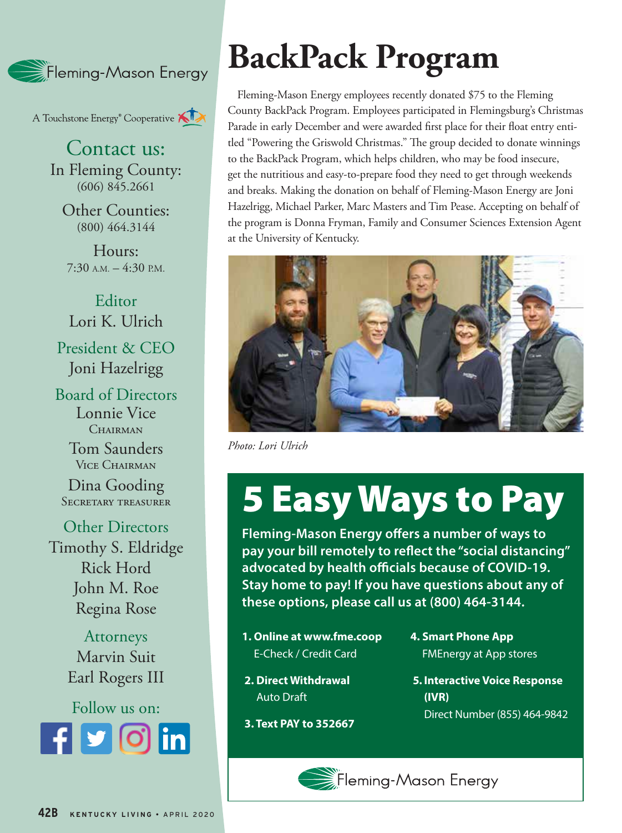

A Touchstone Energy<sup>®</sup> Cooperative A

Contact us: In Fleming County: (606) 845.2661

Other Counties: (800) 464.3144

Hours:  $7:30$  A.M.  $-4:30$  P.M.

Editor Lori K. Ulrich President & CEO Joni Hazelrigg

Board of Directors Lonnie Vice CHAIRMAN

> Tom Saunders Vice Chairman

Dina Gooding Secretary treasurer

Other Directors Timothy S. Eldridge Rick Hord John M. Roe Regina Rose

> Attorneys Marvin Suit Earl Rogers III

Follow us on: **Rounded square** Only use blue and/or white. For more details check out our Brand Guidelines.

## **BackPack Program**

Fleming-Mason Energy employees recently donated \$75 to the Fleming County BackPack Program. Employees participated in Flemingsburg's Christmas Parade in early December and were awarded first place for their float entry entitled "Powering the Griswold Christmas." The group decided to donate winnings to the BackPack Program, which helps children, who may be food insecure, get the nutritious and easy-to-prepare food they need to get through weekends and breaks. Making the donation on behalf of Fleming-Mason Energy are Joni Hazelrigg, Michael Parker, Marc Masters and Tim Pease. Accepting on behalf of the program is Donna Fryman, Family and Consumer Sciences Extension Agent at the University of Kentucky.



*Photo: Lori Ulrich* 

## 5 Easy Ways to Pay

**Fleming-Mason Energy offers a number of ways to pay your bill remotely to reflect the "social distancing" advocated by health officials because of COVID-19. Stay home to pay! If you have questions about any of these options, please call us at (800) 464-3144.**

- **1. Online at www.fme.coop** E-Check / Credit Card
- **4. Smart Phone App** FMEnergy at App stores
- **2. Direct Withdrawal** Auto Draft
- **5. Interactive Voice Response (IVR)**
- **3. Text PAY to 352667**
- Direct Number (855) 464-9842

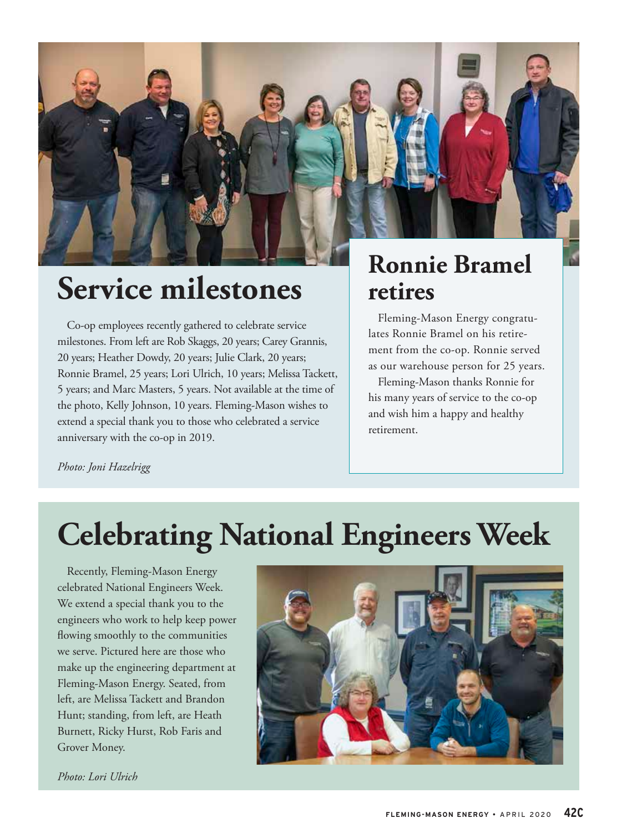

#### **Service milestones**

Co-op employees recently gathered to celebrate service milestones. From left are Rob Skaggs, 20 years; Carey Grannis, 20 years; Heather Dowdy, 20 years; Julie Clark, 20 years; Ronnie Bramel, 25 years; Lori Ulrich, 10 years; Melissa Tackett, 5 years; and Marc Masters, 5 years. Not available at the time of the photo, Kelly Johnson, 10 years. Fleming-Mason wishes to extend a special thank you to those who celebrated a service anniversary with the co-op in 2019.

#### **Ronnie Bramel retires**

Fleming-Mason Energy congratulates Ronnie Bramel on his retirement from the co-op. Ronnie served as our warehouse person for 25 years.

Fleming-Mason thanks Ronnie for his many years of service to the co-op and wish him a happy and healthy retirement.

*Photo: Joni Hazelrigg*

### **Celebrating National Engineers Week**

Recently, Fleming-Mason Energy celebrated National Engineers Week. We extend a special thank you to the engineers who work to help keep power flowing smoothly to the communities we serve. Pictured here are those who make up the engineering department at Fleming-Mason Energy. Seated, from left, are Melissa Tackett and Brandon Hunt; standing, from left, are Heath Burnett, Ricky Hurst, Rob Faris and Grover Money.



*Photo: Lori Ulrich*